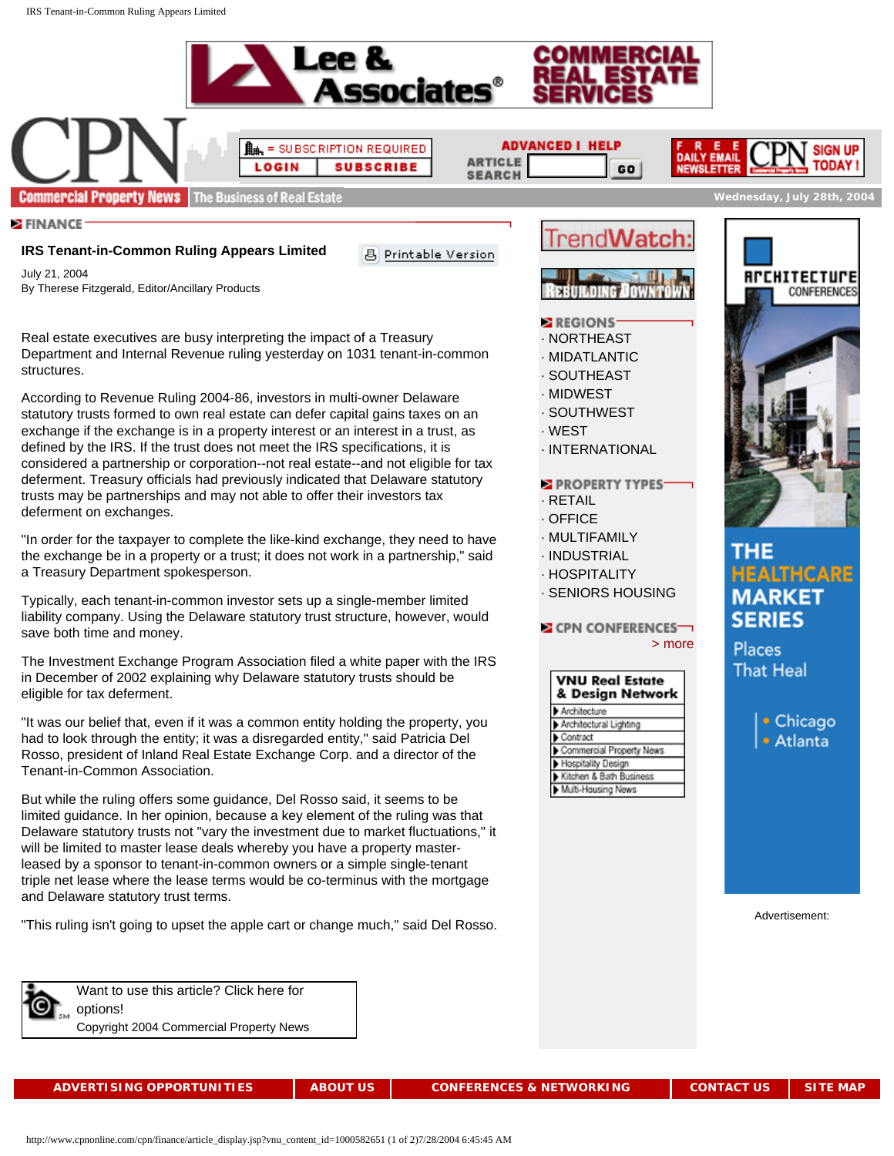



**ADVANCED I HELP ARTICLE SEARCH** 

> · [NORTHEAST](http://www.cpnonline.com/cpn/regions/northeast.jsp) · [MIDATLANTIC](http://www.cpnonline.com/cpn/regions/midatlantic.jsp) · [SOUTHEAST](http://www.cpnonline.com/cpn/regions/southeast.jsp) · [MIDWEST](http://www.cpnonline.com/cpn/regions/midwest.jsp) · [SOUTHWEST](http://www.cpnonline.com/cpn/regions/southwest.jsp)

**E** REGIONS

BBUILDING

 $GO$ 

end**Watc** 

· [INTERNATIONAL](http://www.cpnonline.com/cpn/regions/international.jsp)

**E PROPERTY TYPES** 

CPN CONFERENCES<sup>-</sup>

**VNU Real Estate** & Design Network

Commercial Property News Hospitality Design Kitchen & Bath Business Multi-Housing News

Architecture

Contract

Architectural Lighting

· [WEST](http://www.cpnonline.com/cpn/regions/west.jsp)

· [RETAIL](http://www.cpnonline.com/cpn/property_type/retail.jsp) · [OFFICE](http://www.cpnonline.com/cpn/property_type/office.jsp) · [MULTIFAMILY](http://www.cpnonline.com/cpn/property_type/multi_family.jsp) · [INDUSTRIAL](http://www.cpnonline.com/cpn/property_type/industrial.jsp) · [HOSPITALITY](http://www.cpnonline.com/cpn/property_type/hospitality.jsp) · [SENIORS HOUSING](http://www.cpnonline.com/cpn/property_type/senior_housing.jsp)



**Wednesday, July 28th, 2004** 

**Commercial Property News** The Business of Real Estate

**E** FINANCE

## **IRS Tenant-in-Common Ruling Appears Limited**

Printable Version

July 21, 2004 By Therese Fitzgerald, Editor/Ancillary Products

Real estate executives are busy interpreting the impact of a Treasury Department and Internal Revenue ruling yesterday on 1031 tenant-in-common structures.

According to Revenue Ruling 2004-86, investors in multi-owner Delaware statutory trusts formed to own real estate can defer capital gains taxes on an exchange if the exchange is in a property interest or an interest in a trust, as defined by the IRS. If the trust does not meet the IRS specifications, it is considered a partnership or corporation--not real estate--and not eligible for tax deferment. Treasury officials had previously indicated that Delaware statutory trusts may be partnerships and may not able to offer their investors tax deferment on exchanges.

"In order for the taxpayer to complete the like-kind exchange, they need to have the exchange be in a property or a trust; it does not work in a partnership," said a Treasury Department spokesperson.

Typically, each tenant-in-common investor sets up a single-member limited liability company. Using the Delaware statutory trust structure, however, would save both time and money.

The Investment Exchange Program Association filed a white paper with the IRS in December of 2002 explaining why Delaware statutory trusts should be eligible for tax deferment.

"It was our belief that, even if it was a common entity holding the property, you had to look through the entity; it was a disregarded entity," said Patricia Del Rosso, president of Inland Real Estate Exchange Corp. and a director of the Tenant-in-Common Association.

But while the ruling offers some guidance, Del Rosso said, it seems to be limited guidance. In her opinion, because a key element of the ruling was that Delaware statutory trusts not "vary the investment due to market fluctuations," it will be limited to master lease deals whereby you have a property masterleased by a sponsor to tenant-in-common owners or a simple single-tenant triple net lease where the lease terms would be co-terminus with the mortgage and Delaware statutory trust terms.

"This ruling isn't going to upset the apple cart or change much," said Del Rosso.



[Want to use this article? Click here for](http://www.rsicopyright.com/3.5622?icx_id=1000582651) [options!](http://www.rsicopyright.com/3.5622?icx_id=1000582651)  Copyright 2004 Commercial Property News

**[ADVERTISING OPPORTUNITIES](http://www.cpnonline.com/cpn/about_us/ad_opps.jsp) [ABOUT US](http://www.cpnonline.com/cpn/about_us/index.jsp) [CONFERENCES & NETWORKING](http://www.cpnonline.com/cpn/conference/index.jsp) [CONTACT US](http://www.cpnonline.com/cpn/about_us/contacts.jsp) [SITE MAP](http://www.cpnonline.com/cpn/about_us/site_map.jsp)**



## **HEALTHCARE MARKET SERIES**

Places **That Heal** 

[> more](http://www.cpnonline.com/cpn/conference/index.jsp)

• Chicago · Atlanta

Advertisement:

http://www.cpnonline.com/cpn/finance/article\_display.jsp?vnu\_content\_id=1000582651 (1 of 2)7/28/2004 6:45:45 AM